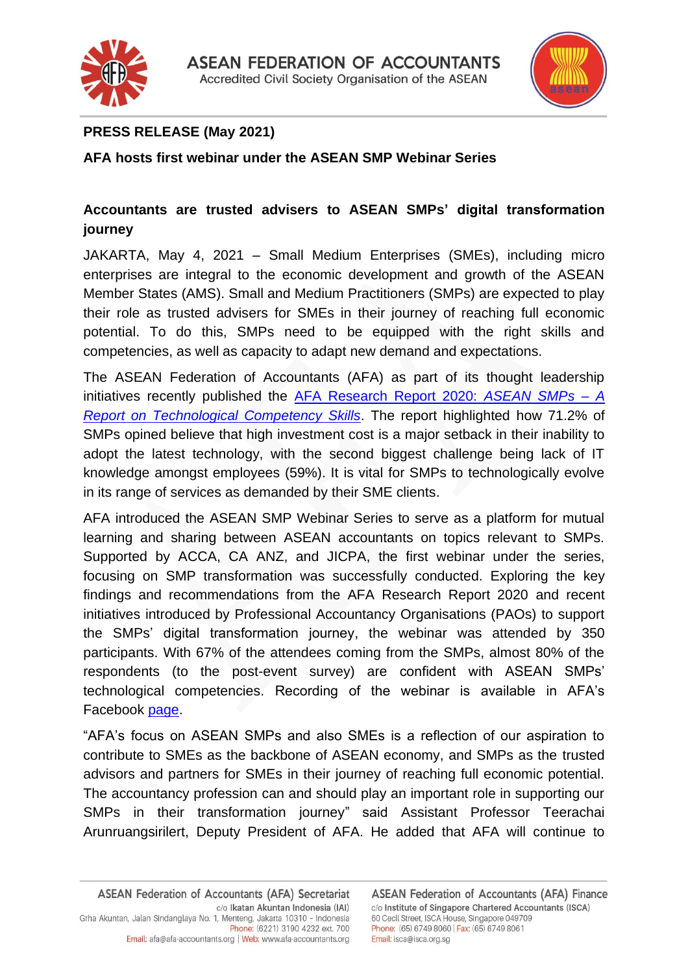



## **PRESS RELEASE (May 2021)**

**AFA hosts first webinar under the ASEAN SMP Webinar Series**

## **Accountants are trusted advisers to ASEAN SMPs' digital transformation journey**

JAKARTA, May 4, 2021 – Small Medium Enterprises (SMEs), including micro enterprises are integral to the economic development and growth of the ASEAN Member States (AMS). Small and Medium Practitioners (SMPs) are expected to play their role as trusted advisers for SMEs in their journey of reaching full economic potential. To do this, SMPs need to be equipped with the right skills and competencies, as well as capacity to adapt new demand and expectations.

The ASEAN Federation of Accountants (AFA) as part of its thought leadership initiatives recently published the [AFA Research Report 2020:](http://afa-accountants.org/news-107-AFA%20Research%20Report%202020.html) *ASEAN SMPs – A [Report on Technological Competency Skills](http://afa-accountants.org/news-107-AFA%20Research%20Report%202020.html)*. The report highlighted how 71.2% of SMPs opined believe that high investment cost is a major setback in their inability to adopt the latest technology, with the second biggest challenge being lack of IT knowledge amongst employees (59%). It is vital for SMPs to technologically evolve in its range of services as demanded by their SME clients.

AFA introduced the ASEAN SMP Webinar Series to serve as a platform for mutual learning and sharing between ASEAN accountants on topics relevant to SMPs. Supported by ACCA, CA ANZ, and JICPA, the first webinar under the series, focusing on SMP transformation was successfully conducted. Exploring the key findings and recommendations from the AFA Research Report 2020 and recent initiatives introduced by Professional Accountancy Organisations (PAOs) to support the SMPs' digital transformation journey, the webinar was attended by 350 participants. With 67% of the attendees coming from the SMPs, almost 80% of the respondents (to the post-event survey) are confident with ASEAN SMPs' technological competencies. Recording of the webinar is available in AFA's Facebook [page.](https://fb.watch/5hXgwVRbg_/)

"AFA's focus on ASEAN SMPs and also SMEs is a reflection of our aspiration to contribute to SMEs as the backbone of ASEAN economy, and SMPs as the trusted advisors and partners for SMEs in their journey of reaching full economic potential. The accountancy profession can and should play an important role in supporting our SMPs in their transformation journey" said Assistant Professor Teerachai Arunruangsirilert, Deputy President of AFA. He added that AFA will continue to